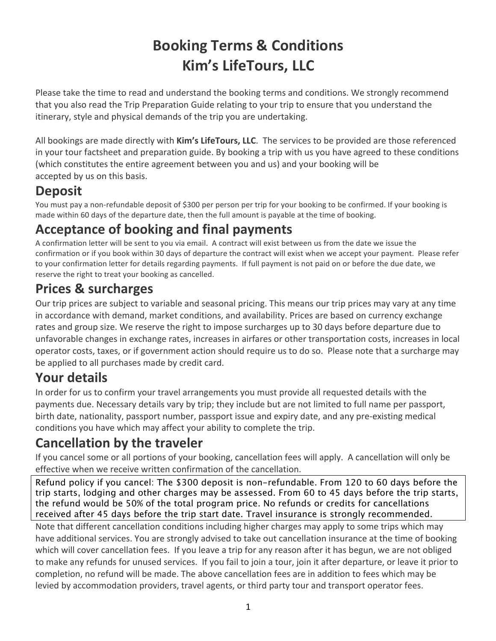# **Booking Terms & Conditions Kim's LifeTours, LLC**

Please take the time to read and understand the booking terms and conditions. We strongly recommend that you also read the Trip Preparation Guide relating to your trip to ensure that you understand the itinerary, style and physical demands of the trip you are undertaking.

All bookings are made directly with **Kim's LifeTours, LLC**. The services to be provided are those referenced in your tour factsheet and preparation guide. By booking a trip with us you have agreed to these conditions (which constitutes the entire agreement between you and us) and your booking will be accepted by us on this basis.

## **Deposit**

You must pay a non-refundable deposit of \$300 per person per trip for your booking to be confirmed. If your booking is made within 60 days of the departure date, then the full amount is payable at the time of booking.

## Acceptance of booking and final payments

A confirmation letter will be sent to you via email. A contract will exist between us from the date we issue the confirmation or if you book within 30 days of departure the contract will exist when we accept your payment. Please refer to your confirmation letter for details regarding payments. If full payment is not paid on or before the due date, we reserve the right to treat your booking as cancelled.

#### **Prices & surcharges**

Our trip prices are subject to variable and seasonal pricing. This means our trip prices may vary at any time in accordance with demand, market conditions, and availability. Prices are based on currency exchange rates and group size. We reserve the right to impose surcharges up to 30 days before departure due to unfavorable changes in exchange rates, increases in airfares or other transportation costs, increases in local operator costs, taxes, or if government action should require us to do so. Please note that a surcharge may be applied to all purchases made by credit card.

## **Your details**

In order for us to confirm your travel arrangements you must provide all requested details with the payments due. Necessary details vary by trip; they include but are not limited to full name per passport, birth date, nationality, passport number, passport issue and expiry date, and any pre-existing medical conditions you have which may affect your ability to complete the trip.

## **Cancellation by the traveler**

If you cancel some or all portions of your booking, cancellation fees will apply. A cancellation will only be effective when we receive written confirmation of the cancellation.

Refund policy if you cancel: The \$300 deposit is non-refundable. From 120 to 60 days before the trip starts, lodging and other charges may be assessed. From 60 to 45 days before the trip starts, the refund would be 50% of the total program price. No refunds or credits for cancellations received after 45 days before the trip start date. Travel insurance is strongly recommended.

Note that different cancellation conditions including higher charges may apply to some trips which may have additional services. You are strongly advised to take out cancellation insurance at the time of booking which will cover cancellation fees. If you leave a trip for any reason after it has begun, we are not obliged to make any refunds for unused services. If you fail to join a tour, join it after departure, or leave it prior to completion, no refund will be made. The above cancellation fees are in addition to fees which may be levied by accommodation providers, travel agents, or third party tour and transport operator fees.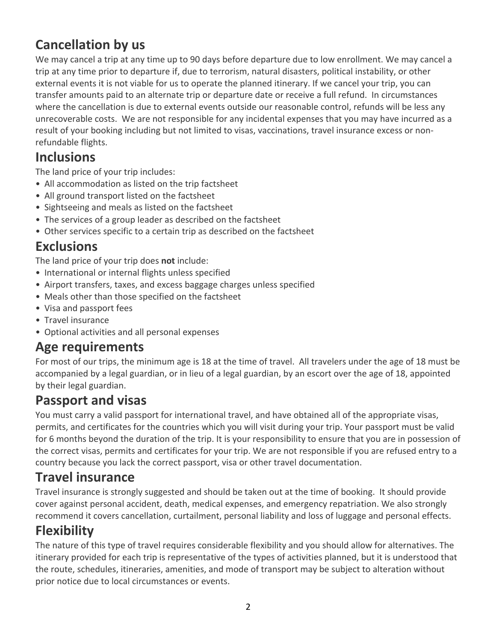## **Cancellation by us**

We may cancel a trip at any time up to 90 days before departure due to low enrollment. We may cancel a trip at any time prior to departure if, due to terrorism, natural disasters, political instability, or other external events it is not viable for us to operate the planned itinerary. If we cancel your trip, you can transfer amounts paid to an alternate trip or departure date or receive a full refund. In circumstances where the cancellation is due to external events outside our reasonable control, refunds will be less any unrecoverable costs. We are not responsible for any incidental expenses that you may have incurred as a result of your booking including but not limited to visas, vaccinations, travel insurance excess or nonrefundable flights.

#### **Inclusions**

The land price of your trip includes:

- All accommodation as listed on the trip factsheet
- All ground transport listed on the factsheet
- Sightseeing and meals as listed on the factsheet
- The services of a group leader as described on the factsheet
- Other services specific to a certain trip as described on the factsheet

### **Exclusions**

The land price of your trip does not include:

- International or internal flights unless specified
- Airport transfers, taxes, and excess baggage charges unless specified
- Meals other than those specified on the factsheet
- Visa and passport fees
- Travel insurance
- Optional activities and all personal expenses

#### **Age requirements**

For most of our trips, the minimum age is 18 at the time of travel. All travelers under the age of 18 must be accompanied by a legal guardian, or in lieu of a legal guardian, by an escort over the age of 18, appointed by their legal guardian.

#### **Passport and visas**

You must carry a valid passport for international travel, and have obtained all of the appropriate visas, permits, and certificates for the countries which you will visit during your trip. Your passport must be valid for 6 months beyond the duration of the trip. It is your responsibility to ensure that you are in possession of the correct visas, permits and certificates for your trip. We are not responsible if you are refused entry to a country because you lack the correct passport, visa or other travel documentation.

#### **Travel insurance**

Travel insurance is strongly suggested and should be taken out at the time of booking. It should provide cover against personal accident, death, medical expenses, and emergency repatriation. We also strongly recommend it covers cancellation, curtailment, personal liability and loss of luggage and personal effects.

#### **Flexibility**

The nature of this type of travel requires considerable flexibility and you should allow for alternatives. The itinerary provided for each trip is representative of the types of activities planned, but it is understood that the route, schedules, itineraries, amenities, and mode of transport may be subject to alteration without prior notice due to local circumstances or events.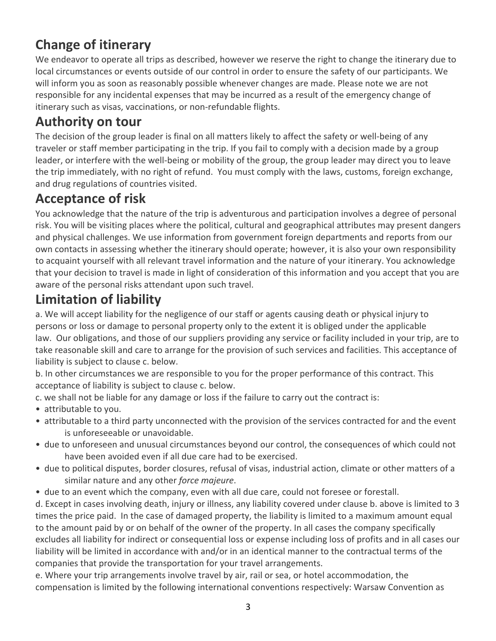## **Change of itinerary**

We endeavor to operate all trips as described, however we reserve the right to change the itinerary due to local circumstances or events outside of our control in order to ensure the safety of our participants. We will inform you as soon as reasonably possible whenever changes are made. Please note we are not responsible for any incidental expenses that may be incurred as a result of the emergency change of itinerary such as visas, vaccinations, or non-refundable flights.

#### **Authority on tour**

The decision of the group leader is final on all matters likely to affect the safety or well-being of any traveler or staff member participating in the trip. If you fail to comply with a decision made by a group leader, or interfere with the well-being or mobility of the group, the group leader may direct you to leave the trip immediately, with no right of refund. You must comply with the laws, customs, foreign exchange, and drug regulations of countries visited.

### **Acceptance of risk**

You acknowledge that the nature of the trip is adventurous and participation involves a degree of personal risk. You will be visiting places where the political, cultural and geographical attributes may present dangers and physical challenges. We use information from government foreign departments and reports from our own contacts in assessing whether the itinerary should operate; however, it is also your own responsibility to acquaint yourself with all relevant travel information and the nature of your itinerary. You acknowledge that your decision to travel is made in light of consideration of this information and you accept that you are aware of the personal risks attendant upon such travel.

## **Limitation of liability**

a. We will accept liability for the negligence of our staff or agents causing death or physical injury to persons or loss or damage to personal property only to the extent it is obliged under the applicable law. Our obligations, and those of our suppliers providing any service or facility included in your trip, are to take reasonable skill and care to arrange for the provision of such services and facilities. This acceptance of liability is subject to clause c. below.

b. In other circumstances we are responsible to you for the proper performance of this contract. This acceptance of liability is subject to clause c. below.

c. we shall not be liable for any damage or loss if the failure to carry out the contract is:

- attributable to you.
- attributable to a third party unconnected with the provision of the services contracted for and the event is unforeseeable or unavoidable.
- due to unforeseen and unusual circumstances beyond our control, the consequences of which could not have been avoided even if all due care had to be exercised.
- due to political disputes, border closures, refusal of visas, industrial action, climate or other matters of a similar nature and any other *force majeure*.
- due to an event which the company, even with all due care, could not foresee or forestall.

d. Except in cases involving death, injury or illness, any liability covered under clause b. above is limited to 3 times the price paid. In the case of damaged property, the liability is limited to a maximum amount equal to the amount paid by or on behalf of the owner of the property. In all cases the company specifically excludes all liability for indirect or consequential loss or expense including loss of profits and in all cases our liability will be limited in accordance with and/or in an identical manner to the contractual terms of the companies that provide the transportation for your travel arrangements.

e. Where your trip arrangements involve travel by air, rail or sea, or hotel accommodation, the compensation is limited by the following international conventions respectively: Warsaw Convention as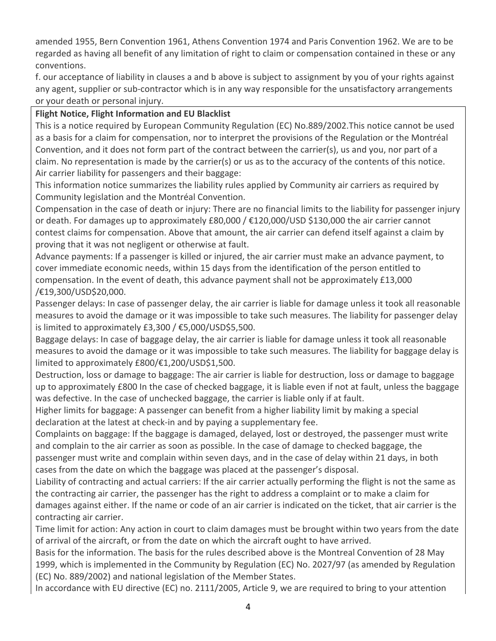amended 1955, Bern Convention 1961, Athens Convention 1974 and Paris Convention 1962. We are to be regarded as having all benefit of any limitation of right to claim or compensation contained in these or any conventions.

f. our acceptance of liability in clauses a and b above is subject to assignment by you of your rights against any agent, supplier or sub-contractor which is in any way responsible for the unsatisfactory arrangements or your death or personal injury.

#### **Flight Notice, Flight Information and EU Blacklist**

This is a notice required by European Community Regulation (EC) No.889/2002.This notice cannot be used as a basis for a claim for compensation, nor to interpret the provisions of the Regulation or the Montréal Convention, and it does not form part of the contract between the carrier(s), us and you, nor part of a claim. No representation is made by the carrier(s) or us as to the accuracy of the contents of this notice. Air carrier liability for passengers and their baggage:

This information notice summarizes the liability rules applied by Community air carriers as required by Community legislation and the Montréal Convention.

Compensation in the case of death or injury: There are no financial limits to the liability for passenger injury or death. For damages up to approximately  $£80,000$  / $£120,000/$ USD \$130,000 the air carrier cannot contest claims for compensation. Above that amount, the air carrier can defend itself against a claim by proving that it was not negligent or otherwise at fault.

Advance payments: If a passenger is killed or injured, the air carrier must make an advance payment, to cover immediate economic needs, within 15 days from the identification of the person entitled to compensation. In the event of death, this advance payment shall not be approximately £13,000 /€19,300/USD\$20,000.

Passenger delays: In case of passenger delay, the air carrier is liable for damage unless it took all reasonable measures to avoid the damage or it was impossible to take such measures. The liability for passenger delay is limited to approximately £3,300 / €5,000/USD\$5,500.

Baggage delays: In case of baggage delay, the air carrier is liable for damage unless it took all reasonable measures to avoid the damage or it was impossible to take such measures. The liability for baggage delay is limited to approximately £800/€1,200/USD\$1,500.

Destruction, loss or damage to baggage: The air carrier is liable for destruction, loss or damage to baggage up to approximately £800 In the case of checked baggage, it is liable even if not at fault, unless the baggage was defective. In the case of unchecked baggage, the carrier is liable only if at fault.

Higher limits for baggage: A passenger can benefit from a higher liability limit by making a special declaration at the latest at check-in and by paying a supplementary fee.

Complaints on baggage: If the baggage is damaged, delayed, lost or destroyed, the passenger must write and complain to the air carrier as soon as possible. In the case of damage to checked baggage, the passenger must write and complain within seven days, and in the case of delay within 21 days, in both cases from the date on which the baggage was placed at the passenger's disposal.

Liability of contracting and actual carriers: If the air carrier actually performing the flight is not the same as the contracting air carrier, the passenger has the right to address a complaint or to make a claim for damages against either. If the name or code of an air carrier is indicated on the ticket, that air carrier is the contracting air carrier.

Time limit for action: Any action in court to claim damages must be brought within two years from the date of arrival of the aircraft, or from the date on which the aircraft ought to have arrived.

Basis for the information. The basis for the rules described above is the Montreal Convention of 28 May 1999, which is implemented in the Community by Regulation (EC) No. 2027/97 (as amended by Regulation (EC) No. 889/2002) and national legislation of the Member States.

In accordance with EU directive (EC) no. 2111/2005, Article 9, we are required to bring to your attention